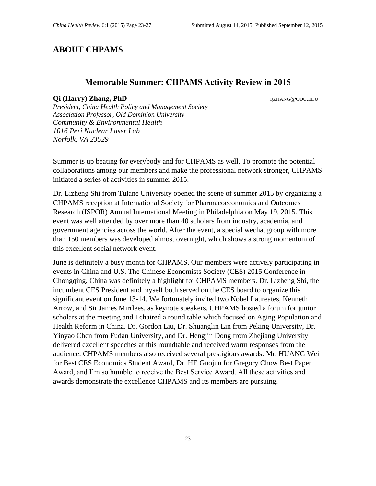# **ABOUT CHPAMS**

### **Memorable Summer: CHPAMS Activity Review in 2015**

#### **Qi (Harry) Zhang, PhD**  $QZHANG@ODU.EDU$

*President, China Health Policy and Management Society Association Professor, Old Dominion University Community & Environmental Health 1016 Peri Nuclear Laser Lab Norfolk, VA 23529*

Summer is up beating for everybody and for CHPAMS as well. To promote the potential collaborations among our members and make the professional network stronger, CHPAMS initiated a series of activities in summer 2015.

Dr. Lizheng Shi from Tulane University opened the scene of summer 2015 by organizing a CHPAMS reception at International Society for Pharmacoeconomics and Outcomes Research (ISPOR) Annual International Meeting in Philadelphia on May 19, 2015. This event was well attended by over more than 40 scholars from industry, academia, and government agencies across the world. After the event, a special wechat group with more than 150 members was developed almost overnight, which shows a strong momentum of this excellent social network event.

June is definitely a busy month for CHPAMS. Our members were actively participating in events in China and U.S. The Chinese Economists Society (CES) 2015 Conference in Chongqing, China was definitely a highlight for CHPAMS members. Dr. Lizheng Shi, the incumbent CES President and myself both served on the CES board to organize this significant event on June 13-14. We fortunately invited two Nobel Laureates, Kenneth Arrow, and Sir James Mirrlees, as keynote speakers. CHPAMS hosted a forum for junior scholars at the meeting and I chaired a round table which focused on Aging Population and Health Reform in China. Dr. Gordon Liu, Dr. Shuanglin Lin from Peking University, Dr. Yinyao Chen from Fudan University, and Dr. Hengjin Dong from Zhejiang University delivered excellent speeches at this roundtable and received warm responses from the audience. CHPAMS members also received several prestigious awards: Mr. HUANG Wei for Best CES Economics Student Award, Dr. HE Guojun for Gregory Chow Best Paper Award, and I'm so humble to receive the Best Service Award. All these activities and awards demonstrate the excellence CHPAMS and its members are pursuing.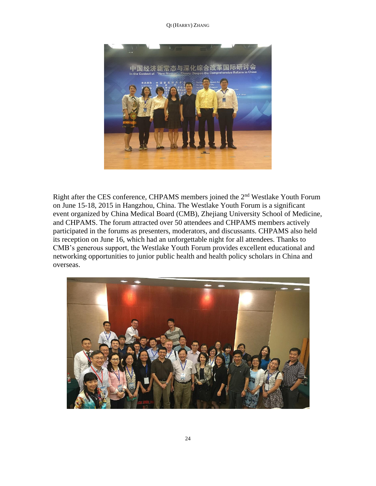QI (HARRY) ZHANG



Right after the CES conference, CHPAMS members joined the 2nd Westlake Youth Forum on June 15-18, 2015 in Hangzhou, China. The Westlake Youth Forum is a significant event organized by China Medical Board (CMB), Zhejiang University School of Medicine, and CHPAMS. The forum attracted over 50 attendees and CHPAMS members actively participated in the forums as presenters, moderators, and discussants. CHPAMS also held its reception on June 16, which had an unforgettable night for all attendees. Thanks to CMB's generous support, the Westlake Youth Forum provides excellent educational and networking opportunities to junior public health and health policy scholars in China and overseas.

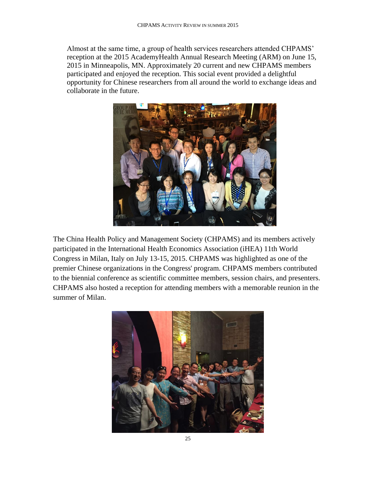Almost at the same time, a group of health services researchers attended CHPAMS' reception at the 2015 AcademyHealth Annual Research Meeting (ARM) on June 15, 2015 in Minneapolis, MN. Approximately 20 current and new CHPAMS members participated and enjoyed the reception. This social event provided a delightful opportunity for Chinese researchers from all around the world to exchange ideas and collaborate in the future.



The China Health Policy and Management Society (CHPAMS) and its members actively participated in the International Health Economics Association (iHEA) 11th World Congress in Milan, Italy on July 13-15, 2015. CHPAMS was highlighted as one of the premier Chinese organizations in the Congress' program. CHPAMS members contributed to the biennial conference as scientific committee members, session chairs, and presenters. CHPAMS also hosted a reception for attending members with a memorable reunion in the summer of Milan.

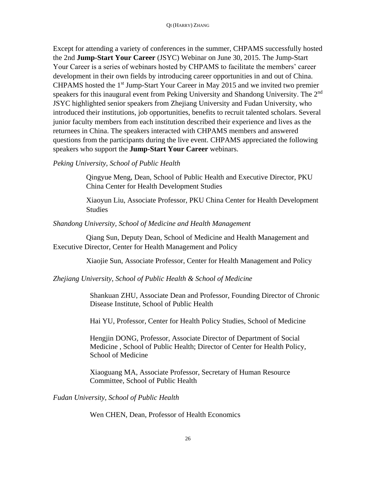Except for attending a variety of conferences in the summer, CHPAMS successfully hosted the 2nd **Jump-Start Your Career** (JSYC) Webinar on June 30, 2015. The Jump-Start Your Career is a series of webinars hosted by CHPAMS to facilitate the members' career development in their own fields by introducing career opportunities in and out of China. CHPAMS hosted the 1st Jump-Start Your Career in May 2015 and we invited two premier speakers for this inaugural event from Peking University and Shandong University. The 2<sup>nd</sup> JSYC highlighted senior speakers from Zhejiang University and Fudan University, who introduced their institutions, job opportunities, benefits to recruit talented scholars. Several junior faculty members from each institution described their experience and lives as the returnees in China. The speakers interacted with CHPAMS members and answered questions from the participants during the live event. CHPAMS appreciated the following speakers who support the **Jump-Start Your Career** webinars.

## *Peking University, School of Public Health*

Qingyue Meng, Dean, School of Public Health and Executive Director, PKU China Center for Health Development Studies

Xiaoyun Liu, Associate Professor, PKU China Center for Health Development Studies

### *Shandong University, School of Medicine and Health Management*

 Qiang Sun, Deputy Dean, School of Medicine and Health Management and Executive Director, Center for Health Management and Policy

Xiaojie Sun, Associate Professor, Center for Health Management and Policy

# *Zhejiang University, School of Public Health & School of Medicine*

Shankuan ZHU, Associate Dean and Professor, Founding Director of Chronic Disease Institute, School of Public Health

Hai YU, Professor, Center for Health Policy Studies, School of Medicine

Hengjin DONG, Professor, Associate Director of Department of Social Medicine , School of Public Health; Director of Center for Health Policy, School of Medicine

Xiaoguang MA, Associate Professor, Secretary of Human Resource Committee, School of Public Health

*Fudan University, School of Public Health* 

Wen CHEN, Dean, Professor of Health Economics